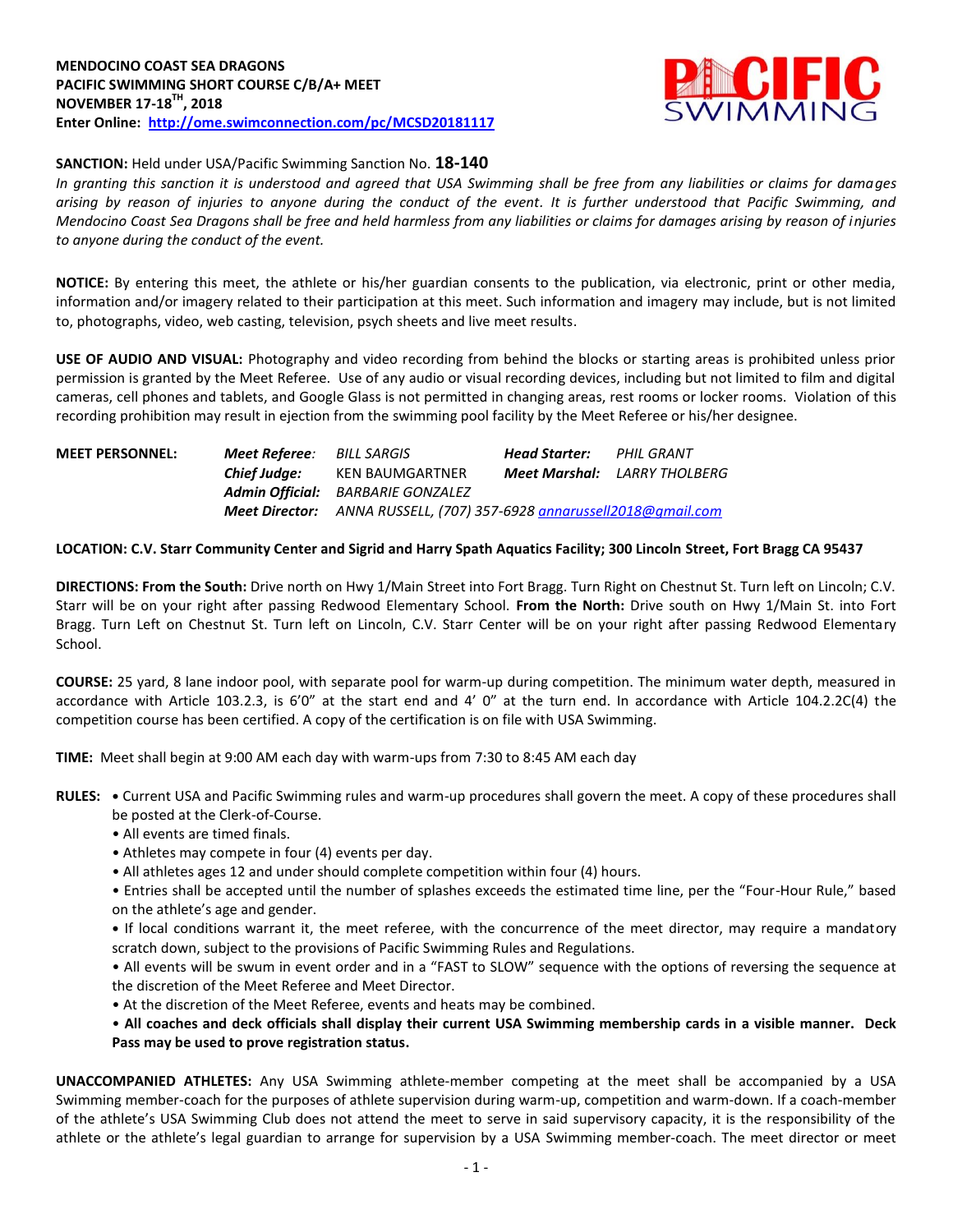

## **SANCTION:** Held under USA/Pacific Swimming Sanction No. **18-140**

*In granting this sanction it is understood and agreed that USA Swimming shall be free from any liabilities or claims for damages arising by reason of injuries to anyone during the conduct of the event. It is further understood that Pacific Swimming, and Mendocino Coast Sea Dragons shall be free and held harmless from any liabilities or claims for damages arising by reason of injuries to anyone during the conduct of the event.*

**NOTICE:** By entering this meet, the athlete or his/her guardian consents to the publication, via electronic, print or other media, information and/or imagery related to their participation at this meet. Such information and imagery may include, but is not limited to, photographs, video, web casting, television, psych sheets and live meet results.

**USE OF AUDIO AND VISUAL:** Photography and video recording from behind the blocks or starting areas is prohibited unless prior permission is granted by the Meet Referee. Use of any audio or visual recording devices, including but not limited to film and digital cameras, cell phones and tablets, and Google Glass is not permitted in changing areas, rest rooms or locker rooms. Violation of this recording prohibition may result in ejection from the swimming pool facility by the Meet Referee or his/her designee.

| <b>MEET PERSONNEL:</b> | Meet Referee: | BILL SARGIS                                                           | Head Starter: | PHIL GRANT                          |
|------------------------|---------------|-----------------------------------------------------------------------|---------------|-------------------------------------|
|                        | Chief Judae:  | KEN BAUMGARTNER                                                       |               | <b>Meet Marshal:</b> LARRY THOLBERG |
|                        |               | <b>Admin Official:</b> BARBARIE GONZALEZ                              |               |                                     |
|                        |               | Meet Director: ANNA RUSSELL, (707) 357-6928 annarussell2018@qmail.com |               |                                     |

### **LOCATION: C.V. Starr Community Center and Sigrid and Harry Spath Aquatics Facility; 300 Lincoln Street, Fort Bragg CA 95437**

**DIRECTIONS: From the South:** Drive north on Hwy 1/Main Street into Fort Bragg. Turn Right on Chestnut St. Turn left on Lincoln; C.V. Starr will be on your right after passing Redwood Elementary School. **From the North:** Drive south on Hwy 1/Main St. into Fort Bragg. Turn Left on Chestnut St. Turn left on Lincoln, C.V. Starr Center will be on your right after passing Redwood Elementary School.

**COURSE:** 25 yard, 8 lane indoor pool, with separate pool for warm-up during competition. The minimum water depth, measured in accordance with Article 103.2.3, is 6'0" at the start end and 4' 0" at the turn end. In accordance with Article 104.2.2C(4) the competition course has been certified. A copy of the certification is on file with USA Swimming.

**TIME:** Meet shall begin at 9:00 AM each day with warm-ups from 7:30 to 8:45 AM each day

**RULES: •** Current USA and Pacific Swimming rules and warm-up procedures shall govern the meet. A copy of these procedures shall be posted at the Clerk-of-Course.

- All events are timed finals.
- Athletes may compete in four (4) events per day.
- All athletes ages 12 and under should complete competition within four (4) hours.

• Entries shall be accepted until the number of splashes exceeds the estimated time line, per the "Four-Hour Rule," based on the athlete's age and gender.

**•** If local conditions warrant it, the meet referee, with the concurrence of the meet director, may require a mandatory scratch down, subject to the provisions of Pacific Swimming Rules and Regulations.

• All events will be swum in event order and in a "FAST to SLOW" sequence with the options of reversing the sequence at the discretion of the Meet Referee and Meet Director.

• At the discretion of the Meet Referee, events and heats may be combined.

• **All coaches and deck officials shall display their current USA Swimming membership cards in a visible manner. Deck Pass may be used to prove registration status.**

**UNACCOMPANIED ATHLETES:** Any USA Swimming athlete-member competing at the meet shall be accompanied by a USA Swimming member-coach for the purposes of athlete supervision during warm-up, competition and warm-down. If a coach-member of the athlete's USA Swimming Club does not attend the meet to serve in said supervisory capacity, it is the responsibility of the athlete or the athlete's legal guardian to arrange for supervision by a USA Swimming member-coach. The meet director or meet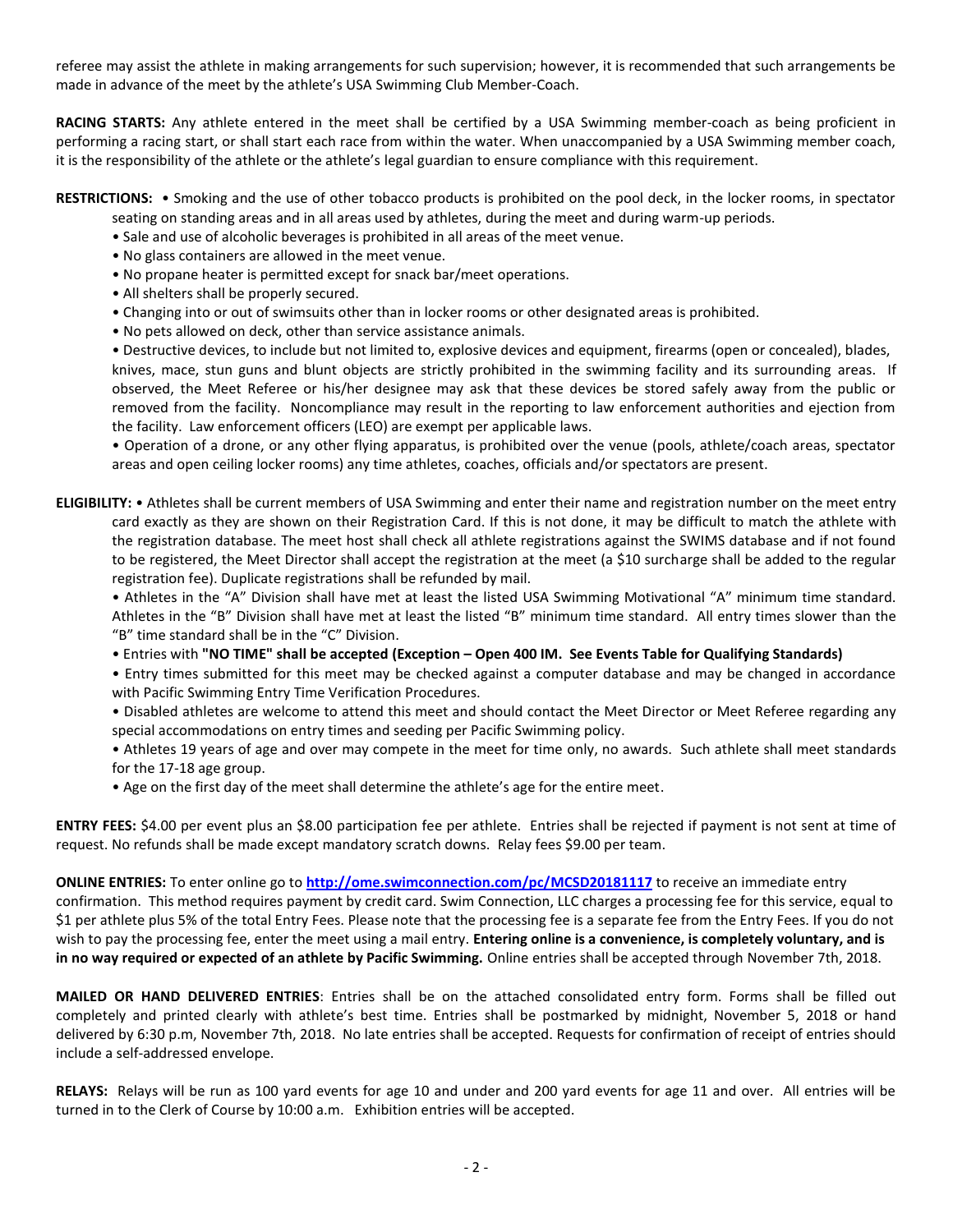referee may assist the athlete in making arrangements for such supervision; however, it is recommended that such arrangements be made in advance of the meet by the athlete's USA Swimming Club Member-Coach.

**RACING STARTS:** Any athlete entered in the meet shall be certified by a USA Swimming member-coach as being proficient in performing a racing start, or shall start each race from within the water. When unaccompanied by a USA Swimming member coach, it is the responsibility of the athlete or the athlete's legal guardian to ensure compliance with this requirement.

**RESTRICTIONS:** • Smoking and the use of other tobacco products is prohibited on the pool deck, in the locker rooms, in spectator seating on standing areas and in all areas used by athletes, during the meet and during warm-up periods.

- Sale and use of alcoholic beverages is prohibited in all areas of the meet venue.
- No glass containers are allowed in the meet venue.
- No propane heater is permitted except for snack bar/meet operations.
- All shelters shall be properly secured.
- Changing into or out of swimsuits other than in locker rooms or other designated areas is prohibited.
- No pets allowed on deck, other than service assistance animals.

• Destructive devices, to include but not limited to, explosive devices and equipment, firearms (open or concealed), blades, knives, mace, stun guns and blunt objects are strictly prohibited in the swimming facility and its surrounding areas. If observed, the Meet Referee or his/her designee may ask that these devices be stored safely away from the public or removed from the facility. Noncompliance may result in the reporting to law enforcement authorities and ejection from the facility. Law enforcement officers (LEO) are exempt per applicable laws.

• Operation of a drone, or any other flying apparatus, is prohibited over the venue (pools, athlete/coach areas, spectator areas and open ceiling locker rooms) any time athletes, coaches, officials and/or spectators are present.

**ELIGIBILITY:** • Athletes shall be current members of USA Swimming and enter their name and registration number on the meet entry card exactly as they are shown on their Registration Card. If this is not done, it may be difficult to match the athlete with the registration database. The meet host shall check all athlete registrations against the SWIMS database and if not found to be registered, the Meet Director shall accept the registration at the meet (a \$10 surcharge shall be added to the regular registration fee). Duplicate registrations shall be refunded by mail.

• Athletes in the "A" Division shall have met at least the listed USA Swimming Motivational "A" minimum time standard. Athletes in the "B" Division shall have met at least the listed "B" minimum time standard. All entry times slower than the "B" time standard shall be in the "C" Division.

• Entries with **"NO TIME" shall be accepted (Exception – Open 400 IM. See Events Table for Qualifying Standards)**

• Entry times submitted for this meet may be checked against a computer database and may be changed in accordance with Pacific Swimming Entry Time Verification Procedures.

• Disabled athletes are welcome to attend this meet and should contact the Meet Director or Meet Referee regarding any special accommodations on entry times and seeding per Pacific Swimming policy.

• Athletes 19 years of age and over may compete in the meet for time only, no awards. Such athlete shall meet standards for the 17-18 age group.

• Age on the first day of the meet shall determine the athlete's age for the entire meet.

**ENTRY FEES:** \$4.00 per event plus an \$8.00 participation fee per athlete. Entries shall be rejected if payment is not sent at time of request. No refunds shall be made except mandatory scratch downs. Relay fees \$9.00 per team.

**ONLINE ENTRIES:** To enter online go to **<http://ome.swimconnection.com/pc/MCSD20181117>** to receive an immediate entry confirmation. This method requires payment by credit card. Swim Connection, LLC charges a processing fee for this service, equal to \$1 per athlete plus 5% of the total Entry Fees. Please note that the processing fee is a separate fee from the Entry Fees. If you do not wish to pay the processing fee, enter the meet using a mail entry. **Entering online is a convenience, is completely voluntary, and is in no way required or expected of an athlete by Pacific Swimming.** Online entries shall be accepted through November 7th, 2018.

**MAILED OR HAND DELIVERED ENTRIES**: Entries shall be on the attached consolidated entry form. Forms shall be filled out completely and printed clearly with athlete's best time. Entries shall be postmarked by midnight, November 5, 2018 or hand delivered by 6:30 p.m, November 7th, 2018. No late entries shall be accepted. Requests for confirmation of receipt of entries should include a self-addressed envelope.

**RELAYS:** Relays will be run as 100 yard events for age 10 and under and 200 yard events for age 11 and over. All entries will be turned in to the Clerk of Course by 10:00 a.m. Exhibition entries will be accepted.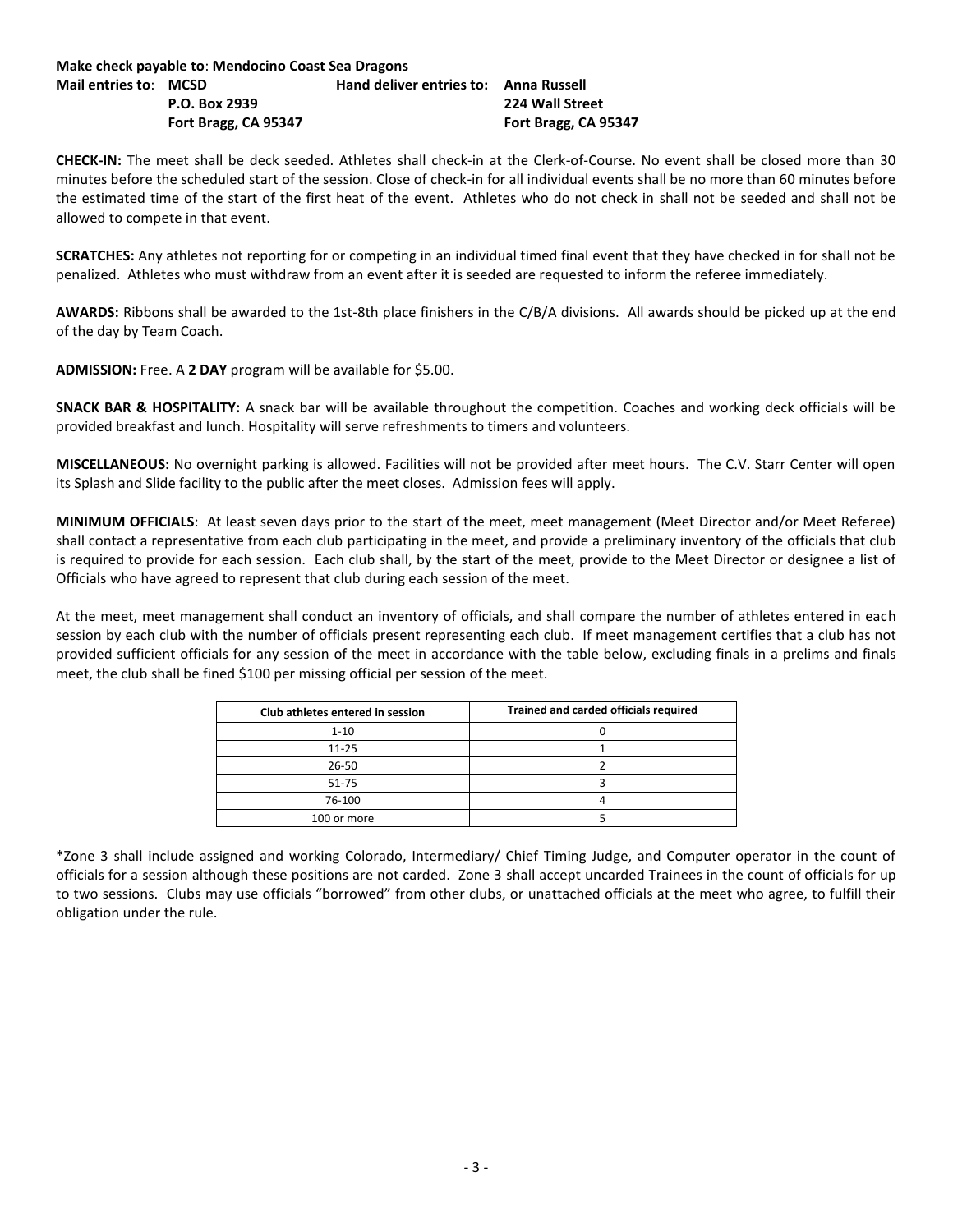### **Make check payable to**: **Mendocino Coast Sea Dragons Mail entries to**: **MCSD Hand deliver entries to: Anna Russell P.O. Box 2939 224 Wall Street Fort Bragg, CA 95347 Fort Bragg, CA 95347**

**CHECK-IN:** The meet shall be deck seeded. Athletes shall check-in at the Clerk-of-Course. No event shall be closed more than 30 minutes before the scheduled start of the session. Close of check-in for all individual events shall be no more than 60 minutes before the estimated time of the start of the first heat of the event. Athletes who do not check in shall not be seeded and shall not be allowed to compete in that event.

**SCRATCHES:** Any athletes not reporting for or competing in an individual timed final event that they have checked in for shall not be penalized. Athletes who must withdraw from an event after it is seeded are requested to inform the referee immediately.

**AWARDS:** Ribbons shall be awarded to the 1st-8th place finishers in the C/B/A divisions. All awards should be picked up at the end of the day by Team Coach.

**ADMISSION:** Free. A **2 DAY** program will be available for \$5.00.

**SNACK BAR & HOSPITALITY:** A snack bar will be available throughout the competition. Coaches and working deck officials will be provided breakfast and lunch. Hospitality will serve refreshments to timers and volunteers.

**MISCELLANEOUS:** No overnight parking is allowed. Facilities will not be provided after meet hours. The C.V. Starr Center will open its Splash and Slide facility to the public after the meet closes. Admission fees will apply.

**MINIMUM OFFICIALS**: At least seven days prior to the start of the meet, meet management (Meet Director and/or Meet Referee) shall contact a representative from each club participating in the meet, and provide a preliminary inventory of the officials that club is required to provide for each session. Each club shall, by the start of the meet, provide to the Meet Director or designee a list of Officials who have agreed to represent that club during each session of the meet.

At the meet, meet management shall conduct an inventory of officials, and shall compare the number of athletes entered in each session by each club with the number of officials present representing each club. If meet management certifies that a club has not provided sufficient officials for any session of the meet in accordance with the table below, excluding finals in a prelims and finals meet, the club shall be fined \$100 per missing official per session of the meet.

| Club athletes entered in session | Trained and carded officials required |  |  |  |  |  |
|----------------------------------|---------------------------------------|--|--|--|--|--|
| $1 - 10$                         |                                       |  |  |  |  |  |
| $11 - 25$                        |                                       |  |  |  |  |  |
| 26-50                            |                                       |  |  |  |  |  |
| $51 - 75$                        |                                       |  |  |  |  |  |
| 76-100                           |                                       |  |  |  |  |  |
| 100 or more                      |                                       |  |  |  |  |  |

\*Zone 3 shall include assigned and working Colorado, Intermediary/ Chief Timing Judge, and Computer operator in the count of officials for a session although these positions are not carded. Zone 3 shall accept uncarded Trainees in the count of officials for up to two sessions. Clubs may use officials "borrowed" from other clubs, or unattached officials at the meet who agree, to fulfill their obligation under the rule.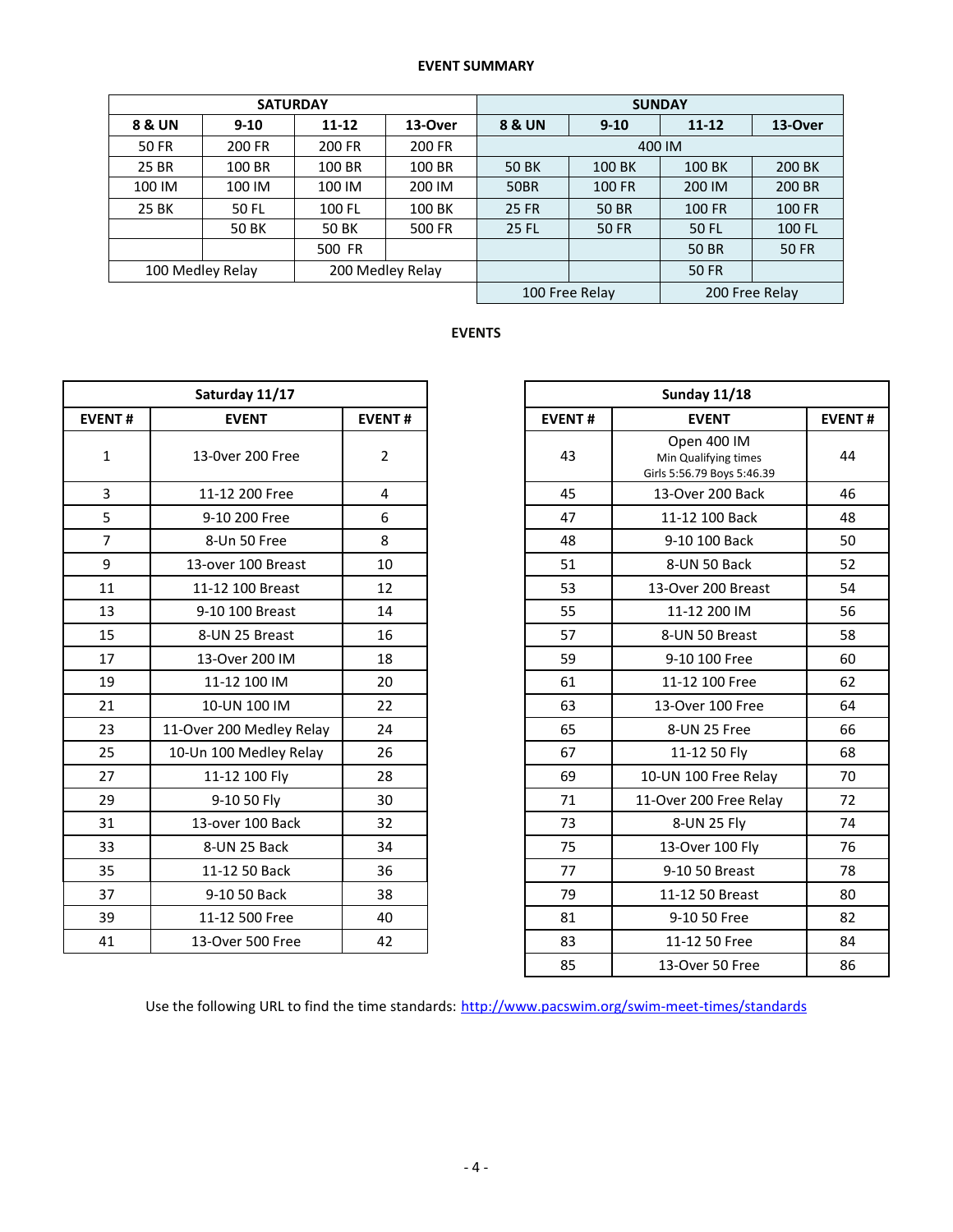#### **EVENT SUMMARY**

|                                      | <b>SATURDAY</b> |                |         |                   | <b>SUNDAY</b> |               |               |  |  |
|--------------------------------------|-----------------|----------------|---------|-------------------|---------------|---------------|---------------|--|--|
| 8 & UN                               | $9 - 10$        | $11 - 12$      | 13-Over | <b>8 &amp; UN</b> | $9 - 10$      | $11 - 12$     | 13-Over       |  |  |
| <b>50 FR</b>                         | 200 FR          | 200 FR         | 200 FR  |                   |               | 400 IM        |               |  |  |
| 25 BR                                | 100 BR          | 100 BR         | 100 BR  | 50 BK             | 100 BK        | 100 BK        | 200 BK        |  |  |
| 100 IM                               | 100 IM          | 100 IM         | 200 IM  | <b>50BR</b>       | <b>100 FR</b> | 200 IM        | 200 BR        |  |  |
| 25 BK                                | 50 FL           | 100 FL         | 100 BK  | <b>25 FR</b>      | <b>50 BR</b>  | <b>100 FR</b> | <b>100 FR</b> |  |  |
|                                      | <b>50 BK</b>    | <b>50 BK</b>   | 500 FR  | <b>25 FL</b>      | 50 FR         | 50 FL         | 100 FL        |  |  |
|                                      |                 | 500 FR         |         |                   |               | <b>50 BR</b>  | <b>50 FR</b>  |  |  |
| 100 Medley Relay<br>200 Medley Relay |                 |                |         | <b>50 FR</b>      |               |               |               |  |  |
|                                      |                 | 100 Free Relay |         | 200 Free Relay    |               |               |               |  |  |

# **EVENTS**

|                | Saturday 11/17           |                |               |
|----------------|--------------------------|----------------|---------------|
| <b>EVENT#</b>  | <b>EVENT</b>             | <b>EVENT#</b>  | <b>EVENT#</b> |
| $\mathbf{1}$   | 13-0ver 200 Free         | $\overline{2}$ | 43            |
| $\overline{3}$ | 11-12 200 Free           | 4              | 45            |
| 5              | 9-10 200 Free            | 6              | 47            |
| $\overline{7}$ | 8-Un 50 Free             | 8              | 48            |
| 9              | 13-over 100 Breast       | 10             | 51            |
| 11             | 11-12 100 Breast         | 12             | 53            |
| 13             | 9-10 100 Breast          | 14             | 55            |
| 15             | 8-UN 25 Breast           | 16             | 57            |
| 17             | 13-Over 200 IM           | 18             | 59            |
| 19             | 11-12 100 IM             | 20             | 61            |
| 21             | 10-UN 100 IM             | 22             | 63            |
| 23             | 11-Over 200 Medley Relay | 24             | 65            |
| 25             | 10-Un 100 Medley Relay   | 26             | 67            |
| 27             | 11-12 100 Fly            | 28             | 69            |
| 29             | 9-10 50 Fly              | 30             | 71            |
| 31             | 13-over 100 Back         | 32             | 73            |
| 33             | 8-UN 25 Back             | 34             | 75            |
| 35             | 11-12 50 Back            | 36             | 77            |
| 37             | 9-10 50 Back             | 38             | 79            |
| 39             | 11-12 500 Free           | 40             | 81            |
| 41             | 13-Over 500 Free         | 42             | 83            |

|                | Saturday 11/17           |                |
|----------------|--------------------------|----------------|
| <b>EVENT#</b>  | <b>EVENT</b>             | <b>EVENT#</b>  |
| $\mathbf 1$    | 13-0ver 200 Free         | $\overline{2}$ |
| $\overline{3}$ | 11-12 200 Free           | 4              |
| 5              | 9-10 200 Free            | 6              |
| $\overline{7}$ | 8-Un 50 Free             | 8              |
| 9              | 13-over 100 Breast       | 10             |
| 11             | 11-12 100 Breast         | 12             |
| 13             | 9-10 100 Breast          | 14             |
| 15             | 8-UN 25 Breast           | 16             |
| 17             | 13-Over 200 IM           | 18             |
| 19             | 11-12 100 IM             | 20             |
| 21             | 10-UN 100 IM             | 22             |
| 23             | 11-Over 200 Medley Relay | 24             |
| 25             | 10-Un 100 Medley Relay   | 26             |
| 27             | 11-12 100 Fly            | 28             |
| 29             | 9-10 50 Fly              | 30             |
| 31             | 13-over 100 Back         | 32             |
| 33             | 8-UN 25 Back             | 34             |
| 35             | 11-12 50 Back            | 36             |
| 37             | 9-10 50 Back             | 38             |
| 39             | 11-12 500 Free           | 40             |
| 41             | 13-Over 500 Free         | 42             |
|                |                          |                |

Use the following URL to find the time standards: <http://www.pacswim.org/swim-meet-times/standards>